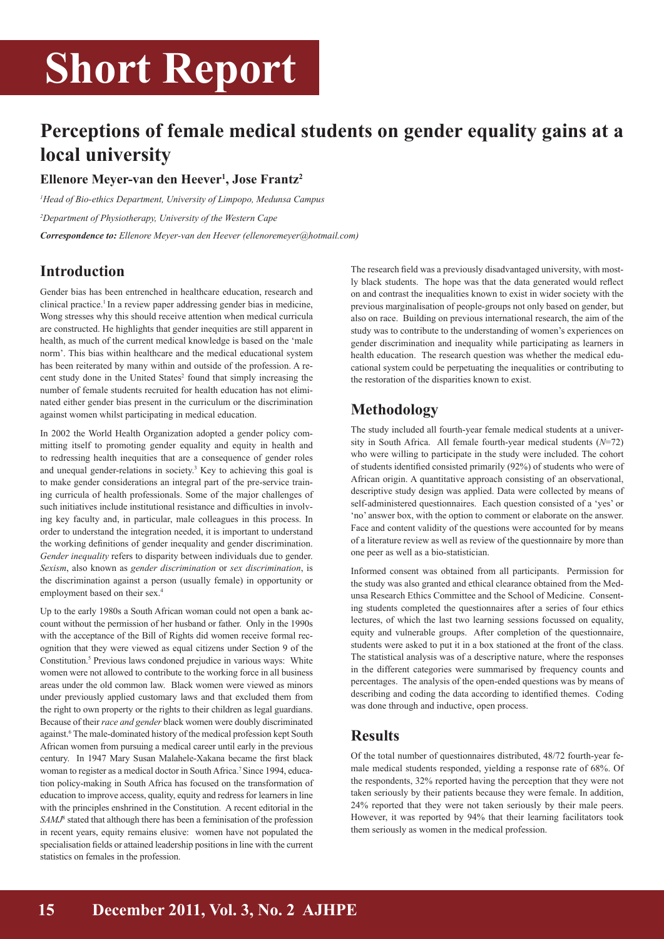# **Short Report**

## **Perceptions of female medical students on gender equality gains at a local university**

### **Ellenore Meyer-van den Heever1 , Jose Frantz2**

*1 Head of Bio-ethics Department, University of Limpopo, Medunsa Campus 2 Department of Physiotherapy, University of the Western Cape Correspondence to: Ellenore Meyer-van den Heever (ellenoremeyer@hotmail.com)*

### **Introduction**

Gender bias has been entrenched in healthcare education, research and clinical practice.<sup>1</sup> In a review paper addressing gender bias in medicine, Wong stresses why this should receive attention when medical curricula are constructed. He highlights that gender inequities are still apparent in health, as much of the current medical knowledge is based on the 'male norm'. This bias within healthcare and the medical educational system has been reiterated by many within and outside of the profession. A recent study done in the United States<sup>2</sup> found that simply increasing the number of female students recruited for health education has not eliminated either gender bias present in the curriculum or the discrimination against women whilst participating in medical education.

In 2002 the World Health Organization adopted a gender policy committing itself to promoting gender equality and equity in health and to redressing health inequities that are a consequence of gender roles and unequal gender-relations in society.<sup>3</sup> Key to achieving this goal is to make gender considerations an integral part of the pre-service training curricula of health professionals. Some of the major challenges of such initiatives include institutional resistance and difficulties in involving key faculty and, in particular, male colleagues in this process. In order to understand the integration needed, it is important to understand the working definitions of gender inequality and gender discrimination. *Gender inequality* refers to disparity between individuals due to gender. *Sexism*, also known as *gender discrimination* or *sex discrimination*, is the discrimination against a person (usually female) in opportunity or employment based on their sex.<sup>4</sup>

Up to the early 1980s a South African woman could not open a bank account without the permission of her husband or father. Only in the 1990s with the acceptance of the Bill of Rights did women receive formal recognition that they were viewed as equal citizens under Section 9 of the Constitution.<sup>5</sup> Previous laws condoned prejudice in various ways: White women were not allowed to contribute to the working force in all business areas under the old common law. Black women were viewed as minors under previously applied customary laws and that excluded them from the right to own property or the rights to their children as legal guardians. Because of their *race and gender* black women were doubly discriminated against.<sup>6</sup> The male-dominated history of the medical profession kept South African women from pursuing a medical career until early in the previous century. In 1947 Mary Susan Malahele-Xakana became the first black woman to register as a medical doctor in South Africa.<sup>7</sup> Since 1994, education policy-making in South Africa has focused on the transformation of education to improve access, quality, equity and redress for learners in line with the principles enshrined in the Constitution. A recent editorial in the SAMJ<sup>8</sup> stated that although there has been a feminisation of the profession in recent years, equity remains elusive: women have not populated the specialisation fields or attained leadership positions in line with the current statistics on females in the profession.

The research field was a previously disadvantaged university, with mostly black students. The hope was that the data generated would reflect on and contrast the inequalities known to exist in wider society with the previous marginalisation of people-groups not only based on gender, but also on race. Building on previous international research, the aim of the study was to contribute to the understanding of women's experiences on gender discrimination and inequality while participating as learners in health education. The research question was whether the medical educational system could be perpetuating the inequalities or contributing to the restoration of the disparities known to exist.

## **Methodology**

The study included all fourth-year female medical students at a university in South Africa. All female fourth-year medical students (*N*=72) who were willing to participate in the study were included. The cohort of students identified consisted primarily (92%) of students who were of African origin. A quantitative approach consisting of an observational, descriptive study design was applied. Data were collected by means of self-administered questionnaires. Each question consisted of a 'yes' or 'no' answer box, with the option to comment or elaborate on the answer. Face and content validity of the questions were accounted for by means of a literature review as well as review of the questionnaire by more than one peer as well as a bio-statistician.

Informed consent was obtained from all participants. Permission for the study was also granted and ethical clearance obtained from the Medunsa Research Ethics Committee and the School of Medicine. Consenting students completed the questionnaires after a series of four ethics lectures, of which the last two learning sessions focussed on equality, equity and vulnerable groups. After completion of the questionnaire, students were asked to put it in a box stationed at the front of the class. The statistical analysis was of a descriptive nature, where the responses in the different categories were summarised by frequency counts and percentages. The analysis of the open-ended questions was by means of describing and coding the data according to identified themes. Coding was done through and inductive, open process.

### **Results**

Of the total number of questionnaires distributed, 48/72 fourth-year female medical students responded, yielding a response rate of 68%. Of the respondents, 32% reported having the perception that they were not taken seriously by their patients because they were female. In addition, 24% reported that they were not taken seriously by their male peers. However, it was reported by 94% that their learning facilitators took them seriously as women in the medical profession.